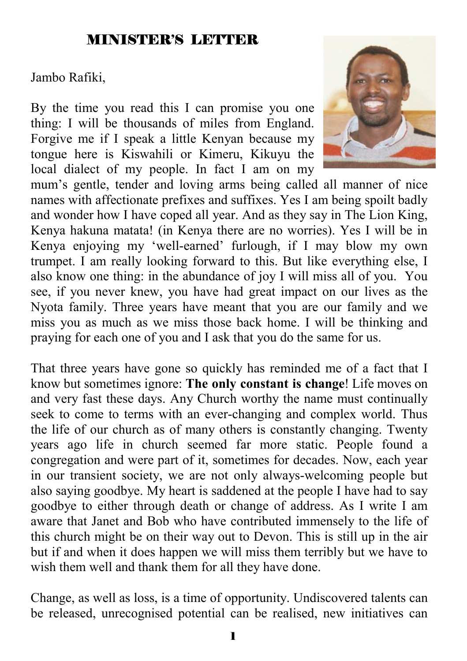#### MINISTER'S LETTER

Jambo Rafiki,

By the time you read this I can promise you one thing: I will be thousands of miles from England. Forgive me if I speak a little Kenyan because my tongue here is Kiswahili or Kimeru, Kikuyu the local dialect of my people. In fact I am on my



mum's gentle, tender and loving arms being called all manner of nice names with affectionate prefixes and suffixes. Yes I am being spoilt badly and wonder how I have coped all year. And as they say in The Lion King, Kenya hakuna matata! (in Kenya there are no worries). Yes I will be in Kenya enjoying my 'well-earned' furlough, if I may blow my own trumpet. I am really looking forward to this. But like everything else, I also know one thing: in the abundance of joy I will miss all of you. You see, if you never knew, you have had great impact on our lives as the Nyota family. Three years have meant that you are our family and we miss you as much as we miss those back home. I will be thinking and praying for each one of you and I ask that you do the same for us.

That three years have gone so quickly has reminded me of a fact that I know but sometimes ignore: **The only constant is change**! Life moves on and very fast these days. Any Church worthy the name must continually seek to come to terms with an ever-changing and complex world. Thus the life of our church as of many others is constantly changing. Twenty years ago life in church seemed far more static. People found a congregation and were part of it, sometimes for decades. Now, each year in our transient society, we are not only always-welcoming people but also saying goodbye. My heart is saddened at the people I have had to say goodbye to either through death or change of address. As I write I am aware that Janet and Bob who have contributed immensely to the life of this church might be on their way out to Devon. This is still up in the air but if and when it does happen we will miss them terribly but we have to wish them well and thank them for all they have done.

Change, as well as loss, is a time of opportunity. Undiscovered talents can be released, unrecognised potential can be realised, new initiatives can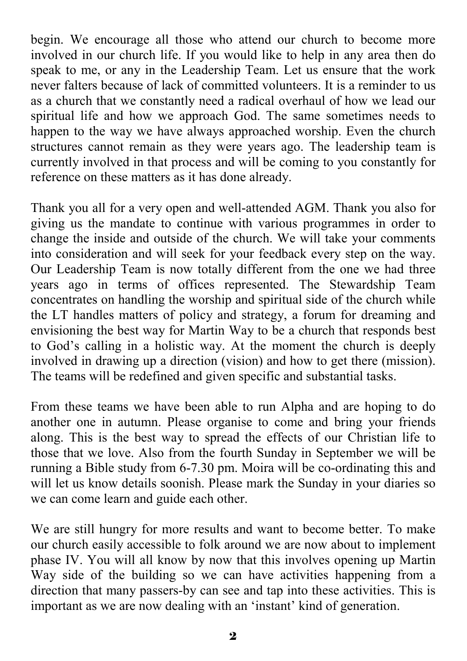begin. We encourage all those who attend our church to become more involved in our church life. If you would like to help in any area then do speak to me, or any in the Leadership Team. Let us ensure that the work never falters because of lack of committed volunteers. It is a reminder to us as a church that we constantly need a radical overhaul of how we lead our spiritual life and how we approach God. The same sometimes needs to happen to the way we have always approached worship. Even the church structures cannot remain as they were years ago. The leadership team is currently involved in that process and will be coming to you constantly for reference on these matters as it has done already.

Thank you all for a very open and well-attended AGM. Thank you also for giving us the mandate to continue with various programmes in order to change the inside and outside of the church. We will take your comments into consideration and will seek for your feedback every step on the way. Our Leadership Team is now totally different from the one we had three years ago in terms of offices represented. The Stewardship Team concentrates on handling the worship and spiritual side of the church while the LT handles matters of policy and strategy, a forum for dreaming and envisioning the best way for Martin Way to be a church that responds best to God's calling in a holistic way. At the moment the church is deeply involved in drawing up a direction (vision) and how to get there (mission). The teams will be redefined and given specific and substantial tasks.

From these teams we have been able to run Alpha and are hoping to do another one in autumn. Please organise to come and bring your friends along. This is the best way to spread the effects of our Christian life to those that we love. Also from the fourth Sunday in September we will be running a Bible study from 6-7.30 pm. Moira will be co-ordinating this and will let us know details soonish. Please mark the Sunday in your diaries so we can come learn and guide each other.

We are still hungry for more results and want to become better. To make our church easily accessible to folk around we are now about to implement phase IV. You will all know by now that this involves opening up Martin Way side of the building so we can have activities happening from a direction that many passers-by can see and tap into these activities. This is important as we are now dealing with an 'instant' kind of generation.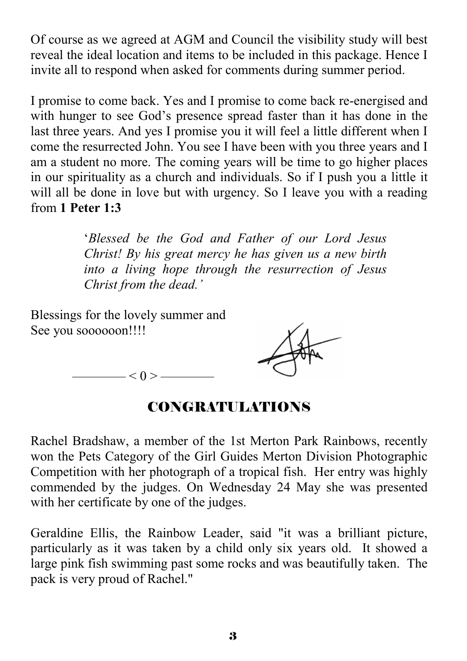Of course as we agreed at AGM and Council the visibility study will best reveal the ideal location and items to be included in this package. Hence I invite all to respond when asked for comments during summer period.

I promise to come back. Yes and I promise to come back re-energised and with hunger to see God's presence spread faster than it has done in the last three years. And yes I promise you it will feel a little different when I come the resurrected John. You see I have been with you three years and I am a student no more. The coming years will be time to go higher places in our spirituality as a church and individuals. So if I push you a little it will all be done in love but with urgency. So I leave you with a reading from **1 Peter 1:3**

> '*Blessed be the God and Father of our Lord Jesus Christ! By his great mercy he has given us a new birth into a living hope through the resurrection of Jesus Christ from the dead.'*

Blessings for the lovely summer and See you soooooon!!!!



 $-$  < 0 > -

## CONGRATULATIONS

Rachel Bradshaw, a member of the 1st Merton Park Rainbows, recently won the Pets Category of the Girl Guides Merton Division Photographic Competition with her photograph of a tropical fish. Her entry was highly commended by the judges. On Wednesday 24 May she was presented with her certificate by one of the judges.

Geraldine Ellis, the Rainbow Leader, said "it was a brilliant picture, particularly as it was taken by a child only six years old. It showed a large pink fish swimming past some rocks and was beautifully taken. The pack is very proud of Rachel."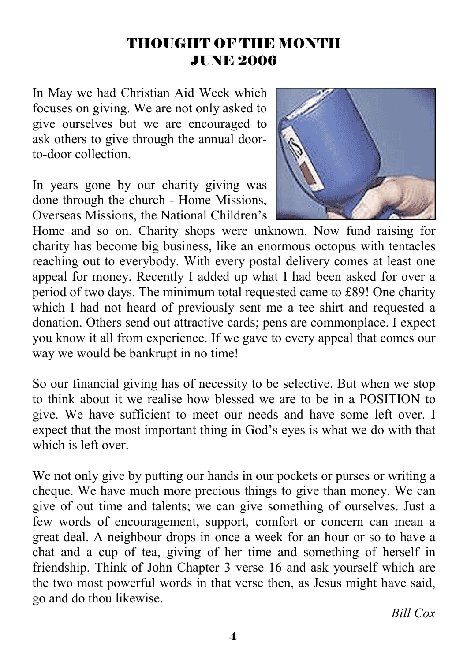#### THOUGHT OF THE MONTH JUNE 2006

In May we had Christian Aid Week which focuses on giving. We are not only asked to give ourselves but we are encouraged to ask others to give through the annual doorto-door collection.

In years gone by our charity giving was done through the church - Home Missions, Overseas Missions, the National Children's



Home and so on. Charity shops were unknown. Now fund raising for charity has become big business, like an enormous octopus with tentacles reaching out to everybody. With every postal delivery comes at least one appeal for money. Recently I added up what I had been asked for over a period of two days. The minimum total requested came to £89! One charity which I had not heard of previously sent me a tee shirt and requested a donation. Others send out attractive cards; pens are commonplace. I expect you know it all from experience. If we gave to every appeal that comes our way we would be bankrupt in no time!

So our financial giving has of necessity to be selective. But when we stop to think about it we realise how blessed we are to be in a POSITION to give. We have sufficient to meet our needs and have some left over. I expect that the most important thing in God's eyes is what we do with that which is left over.

We not only give by putting our hands in our pockets or purses or writing a cheque. We have much more precious things to give than money. We can give of out time and talents; we can give something of ourselves. Just a few words of encouragement, support, comfort or concern can mean a great deal. A neighbour drops in once a week for an hour or so to have a chat and a cup of tea, giving of her time and something of herself in friendship. Think of John Chapter 3 verse 16 and ask yourself which are the two most powerful words in that verse then, as Jesus might have said, go and do thou likewise.

*Bill Cox*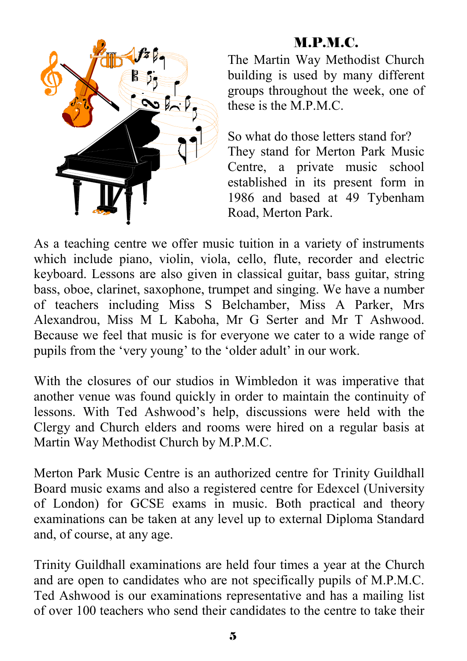## M.P.M.C.



The Martin Way Methodist Church building is used by many different groups throughout the week, one of these is the M.P.M.C.

So what do those letters stand for? They stand for Merton Park Music Centre, a private music school established in its present form in 1986 and based at 49 Tybenham Road, Merton Park.

As a teaching centre we offer music tuition in a variety of instruments which include piano, violin, viola, cello, flute, recorder and electric keyboard. Lessons are also given in classical guitar, bass guitar, string bass, oboe, clarinet, saxophone, trumpet and singing. We have a number of teachers including Miss S Belchamber, Miss A Parker, Mrs Alexandrou, Miss M L Kaboha, Mr G Serter and Mr T Ashwood. Because we feel that music is for everyone we cater to a wide range of pupils from the 'very young' to the 'older adult' in our work.

With the closures of our studios in Wimbledon it was imperative that another venue was found quickly in order to maintain the continuity of lessons. With Ted Ashwood's help, discussions were held with the Clergy and Church elders and rooms were hired on a regular basis at Martin Way Methodist Church by M.P.M.C.

Merton Park Music Centre is an authorized centre for Trinity Guildhall Board music exams and also a registered centre for Edexcel (University of London) for GCSE exams in music. Both practical and theory examinations can be taken at any level up to external Diploma Standard and, of course, at any age.

Trinity Guildhall examinations are held four times a year at the Church and are open to candidates who are not specifically pupils of M.P.M.C. Ted Ashwood is our examinations representative and has a mailing list of over 100 teachers who send their candidates to the centre to take their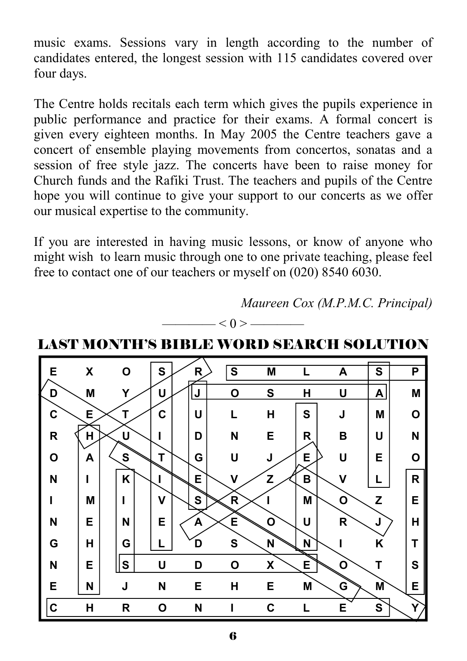music exams. Sessions vary in length according to the number of candidates entered, the longest session with 115 candidates covered over four days.

The Centre holds recitals each term which gives the pupils experience in public performance and practice for their exams. A formal concert is given every eighteen months. In May 2005 the Centre teachers gave a concert of ensemble playing movements from concertos, sonatas and a session of free style jazz. The concerts have been to raise money for Church funds and the Rafiki Trust. The teachers and pupils of the Centre hope you will continue to give your support to our concerts as we offer our musical expertise to the community.

If you are interested in having music lessons, or know of anyone who might wish to learn music through one to one private teaching, please feel free to contact one of our teachers or myself on (020) 8540 6030.





LAST MONTH'S BIBLE WORD SEARCH SOLUTION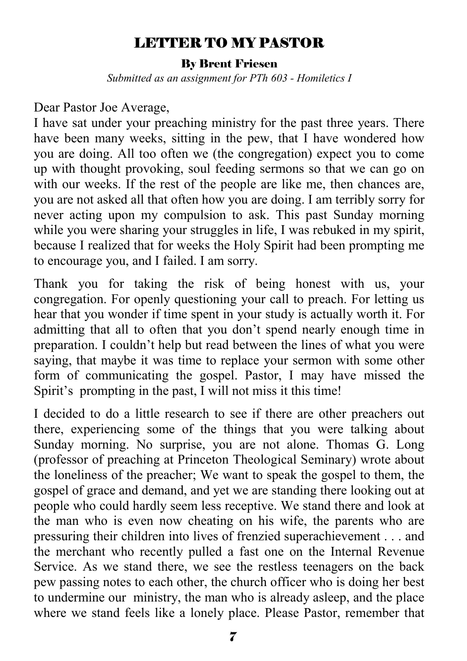#### LETTER TO MY PASTOR

#### By Brent Friesen

*Submitted as an assignment for PTh 603 - Homiletics I* 

#### Dear Pastor Joe Average,

I have sat under your preaching ministry for the past three years. There have been many weeks, sitting in the pew, that I have wondered how you are doing. All too often we (the congregation) expect you to come up with thought provoking, soul feeding sermons so that we can go on with our weeks. If the rest of the people are like me, then chances are, you are not asked all that often how you are doing. I am terribly sorry for never acting upon my compulsion to ask. This past Sunday morning while you were sharing your struggles in life, I was rebuked in my spirit, because I realized that for weeks the Holy Spirit had been prompting me to encourage you, and I failed. I am sorry.

Thank you for taking the risk of being honest with us, your congregation. For openly questioning your call to preach. For letting us hear that you wonder if time spent in your study is actually worth it. For admitting that all to often that you don't spend nearly enough time in preparation. I couldn't help but read between the lines of what you were saying, that maybe it was time to replace your sermon with some other form of communicating the gospel. Pastor, I may have missed the Spirit's prompting in the past, I will not miss it this time!

I decided to do a little research to see if there are other preachers out there, experiencing some of the things that you were talking about Sunday morning. No surprise, you are not alone. Thomas G. Long (professor of preaching at Princeton Theological Seminary) wrote about the loneliness of the preacher; We want to speak the gospel to them, the gospel of grace and demand, and yet we are standing there looking out at people who could hardly seem less receptive. We stand there and look at the man who is even now cheating on his wife, the parents who are pressuring their children into lives of frenzied superachievement . . . and the merchant who recently pulled a fast one on the Internal Revenue Service. As we stand there, we see the restless teenagers on the back pew passing notes to each other, the church officer who is doing her best to undermine our ministry, the man who is already asleep, and the place where we stand feels like a lonely place. Please Pastor, remember that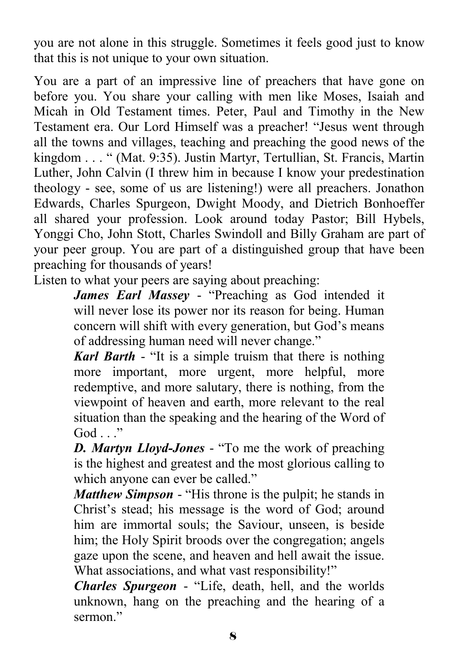you are not alone in this struggle. Sometimes it feels good just to know that this is not unique to your own situation.

You are a part of an impressive line of preachers that have gone on before you. You share your calling with men like Moses, Isaiah and Micah in Old Testament times. Peter, Paul and Timothy in the New Testament era. Our Lord Himself was a preacher! "Jesus went through all the towns and villages, teaching and preaching the good news of the kingdom . . . " (Mat. 9:35). Justin Martyr, Tertullian, St. Francis, Martin Luther, John Calvin (I threw him in because I know your predestination theology - see, some of us are listening!) were all preachers. Jonathon Edwards, Charles Spurgeon, Dwight Moody, and Dietrich Bonhoeffer all shared your profession. Look around today Pastor; Bill Hybels, Yonggi Cho, John Stott, Charles Swindoll and Billy Graham are part of your peer group. You are part of a distinguished group that have been preaching for thousands of years!

Listen to what your peers are saying about preaching:

*James Earl Massey* - "Preaching as God intended it will never lose its power nor its reason for being. Human concern will shift with every generation, but God's means of addressing human need will never change."

*Karl Barth* - "It is a simple truism that there is nothing more important, more urgent, more helpful, more redemptive, and more salutary, there is nothing, from the viewpoint of heaven and earth, more relevant to the real situation than the speaking and the hearing of the Word of  $God$  "

*D. Martyn Lloyd-Jones* - "To me the work of preaching is the highest and greatest and the most glorious calling to which anyone can ever be called."

*Matthew Simpson* - "His throne is the pulpit; he stands in Christ's stead; his message is the word of God; around him are immortal souls; the Saviour, unseen, is beside him; the Holy Spirit broods over the congregation; angels gaze upon the scene, and heaven and hell await the issue. What associations, and what vast responsibility!"

*Charles Spurgeon* - "Life, death, hell, and the worlds unknown, hang on the preaching and the hearing of a sermon<sup>"</sup>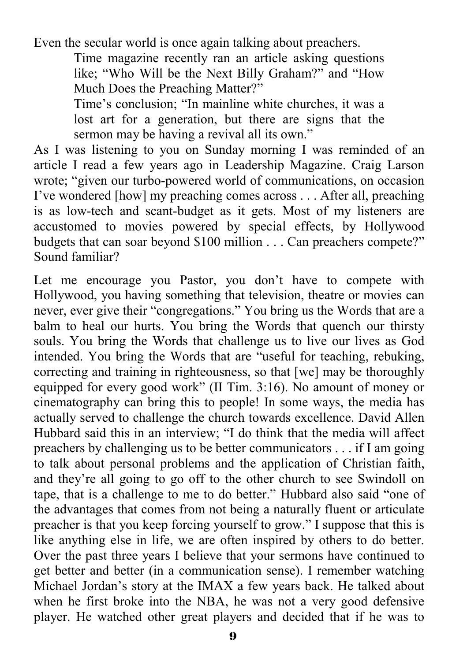Even the secular world is once again talking about preachers.

Time magazine recently ran an article asking questions like; "Who Will be the Next Billy Graham?" and "How Much Does the Preaching Matter?"

Time's conclusion; "In mainline white churches, it was a lost art for a generation, but there are signs that the sermon may be having a revival all its own."

As I was listening to you on Sunday morning I was reminded of an article I read a few years ago in Leadership Magazine. Craig Larson wrote; "given our turbo-powered world of communications, on occasion I've wondered [how] my preaching comes across . . . After all, preaching is as low-tech and scant-budget as it gets. Most of my listeners are accustomed to movies powered by special effects, by Hollywood budgets that can soar beyond \$100 million . . . Can preachers compete?" Sound familiar?

Let me encourage you Pastor, you don't have to compete with Hollywood, you having something that television, theatre or movies can never, ever give their "congregations." You bring us the Words that are a balm to heal our hurts. You bring the Words that quench our thirsty souls. You bring the Words that challenge us to live our lives as God intended. You bring the Words that are "useful for teaching, rebuking, correcting and training in righteousness, so that [we] may be thoroughly equipped for every good work" (II Tim. 3:16). No amount of money or cinematography can bring this to people! In some ways, the media has actually served to challenge the church towards excellence. David Allen Hubbard said this in an interview; "I do think that the media will affect preachers by challenging us to be better communicators . . . if I am going to talk about personal problems and the application of Christian faith, and they're all going to go off to the other church to see Swindoll on tape, that is a challenge to me to do better." Hubbard also said "one of the advantages that comes from not being a naturally fluent or articulate preacher is that you keep forcing yourself to grow." I suppose that this is like anything else in life, we are often inspired by others to do better. Over the past three years I believe that your sermons have continued to get better and better (in a communication sense). I remember watching Michael Jordan's story at the IMAX a few years back. He talked about when he first broke into the NBA, he was not a very good defensive player. He watched other great players and decided that if he was to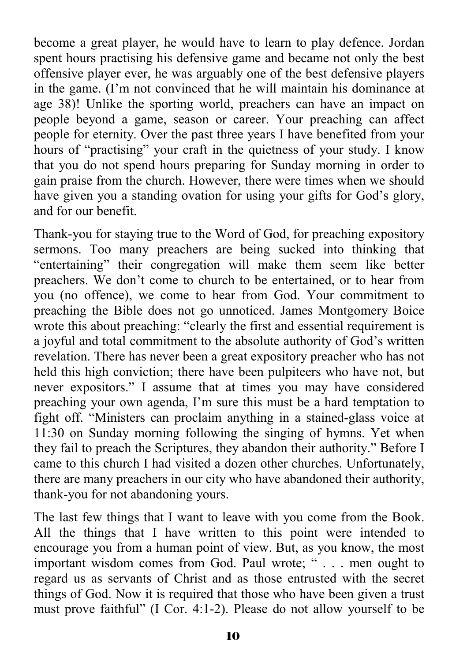become a great player, he would have to learn to play defence. Jordan spent hours practising his defensive game and became not only the best offensive player ever, he was arguably one of the best defensive players in the game. (I'm not convinced that he will maintain his dominance at age 38)! Unlike the sporting world, preachers can have an impact on people beyond a game, season or career. Your preaching can affect people for eternity. Over the past three years I have benefited from your hours of "practising" your craft in the quietness of your study. I know that you do not spend hours preparing for Sunday morning in order to gain praise from the church. However, there were times when we should have given you a standing ovation for using your gifts for God's glory, and for our benefit.

Thank-you for staying true to the Word of God, for preaching expository sermons. Too many preachers are being sucked into thinking that "entertaining" their congregation will make them seem like better preachers. We don't come to church to be entertained, or to hear from you (no offence), we come to hear from God. Your commitment to preaching the Bible does not go unnoticed. James Montgomery Boice wrote this about preaching: "clearly the first and essential requirement is a joyful and total commitment to the absolute authority of God's written revelation. There has never been a great expository preacher who has not held this high conviction; there have been pulpiteers who have not, but never expositors." I assume that at times you may have considered preaching your own agenda, I'm sure this must be a hard temptation to fight off. "Ministers can proclaim anything in a stained-glass voice at 11:30 on Sunday morning following the singing of hymns. Yet when they fail to preach the Scriptures, they abandon their authority." Before I came to this church I had visited a dozen other churches. Unfortunately, there are many preachers in our city who have abandoned their authority, thank-you for not abandoning yours.

The last few things that I want to leave with you come from the Book. All the things that I have written to this point were intended to encourage you from a human point of view. But, as you know, the most important wisdom comes from God. Paul wrote; " . . . men ought to regard us as servants of Christ and as those entrusted with the secret things of God. Now it is required that those who have been given a trust must prove faithful" (I Cor. 4:1-2). Please do not allow yourself to be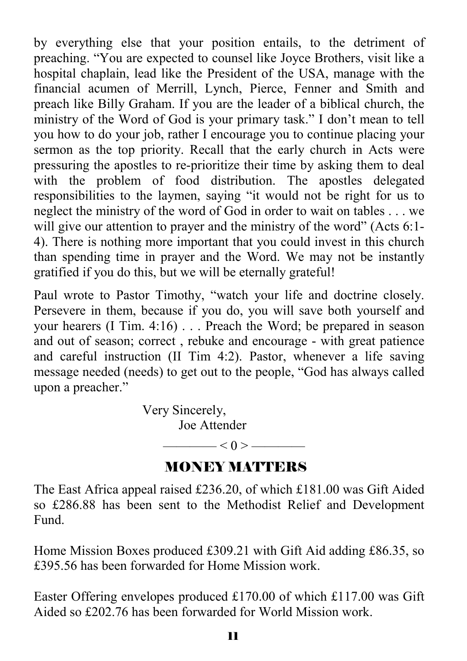by everything else that your position entails, to the detriment of preaching. "You are expected to counsel like Joyce Brothers, visit like a hospital chaplain, lead like the President of the USA, manage with the financial acumen of Merrill, Lynch, Pierce, Fenner and Smith and preach like Billy Graham. If you are the leader of a biblical church, the ministry of the Word of God is your primary task." I don't mean to tell you how to do your job, rather I encourage you to continue placing your sermon as the top priority. Recall that the early church in Acts were pressuring the apostles to re-prioritize their time by asking them to deal with the problem of food distribution. The apostles delegated responsibilities to the laymen, saying "it would not be right for us to neglect the ministry of the word of God in order to wait on tables . . . we will give our attention to prayer and the ministry of the word" (Acts 6:1-4). There is nothing more important that you could invest in this church than spending time in prayer and the Word. We may not be instantly gratified if you do this, but we will be eternally grateful!

Paul wrote to Pastor Timothy, "watch your life and doctrine closely. Persevere in them, because if you do, you will save both yourself and your hearers (I Tim. 4:16) . . . Preach the Word; be prepared in season and out of season; correct , rebuke and encourage - with great patience and careful instruction (II Tim 4:2). Pastor, whenever a life saving message needed (needs) to get out to the people, "God has always called upon a preacher."

> Very Sincerely, Joe Attender

#### MONEY MATTERS

 $-$  < 0 >  $-$ 

The East Africa appeal raised £236.20, of which £181.00 was Gift Aided so £286.88 has been sent to the Methodist Relief and Development Fund.

Home Mission Boxes produced £309.21 with Gift Aid adding £86.35, so £395.56 has been forwarded for Home Mission work.

Easter Offering envelopes produced £170.00 of which £117.00 was Gift Aided so £202.76 has been forwarded for World Mission work.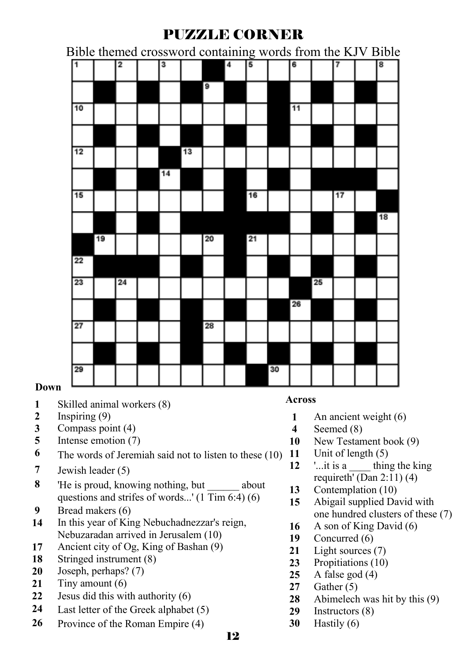#### PUZZLE CORNER

Bible themed crossword containing words from the KJV Bible

| $\overline{1}$ |    | $\overline{2}$ | 3  |    |    | $\overline{\mathbf{4}}$ | 5  |    | 6  |    | 7  | $\overline{\mathbf{8}}$ |
|----------------|----|----------------|----|----|----|-------------------------|----|----|----|----|----|-------------------------|
|                |    |                |    |    | 9  |                         |    |    |    |    |    |                         |
| 10             |    |                |    |    |    |                         |    |    | 11 |    |    |                         |
|                |    |                |    |    |    |                         |    |    |    |    |    |                         |
| 12             |    |                |    | 13 |    |                         |    |    |    |    |    |                         |
|                |    |                | 14 |    |    |                         |    |    |    |    |    |                         |
| 15             |    |                |    |    |    |                         | 16 |    |    |    | 17 |                         |
|                |    |                |    |    |    |                         |    |    |    |    |    | 18                      |
|                | 19 |                |    |    | 20 |                         | 21 |    |    |    |    |                         |
| 22             |    |                |    |    |    |                         |    |    |    |    |    |                         |
| 23             |    | 24             |    |    |    |                         |    |    |    | 25 |    |                         |
|                |    |                |    |    |    |                         |    |    | 26 |    |    |                         |
| 27             |    |                |    |    | 28 |                         |    |    |    |    |    |                         |
|                |    |                |    |    |    |                         |    |    |    |    |    |                         |
| 29             |    |                |    |    |    |                         |    | 30 |    |    |    |                         |

#### **Down**

- Skilled animal workers (8)
- Inspiring (9)
- Compass point (4)
- Intense emotion (7)
- The words of Jeremiah said not to listen to these (10)
- Jewish leader (5)
- 'He is proud, knowing nothing, but about questions and strifes of words...' (1 Tim 6:4) (6)
- Bread makers (6)
- In this year of King Nebuchadnezzar's reign, Nebuzaradan arrived in Jerusalem (10)
- Ancient city of Og, King of Bashan (9)
- Stringed instrument (8)
- Joseph, perhaps? (7)
- Tiny amount (6)
- Jesus did this with authority (6)
- Last letter of the Greek alphabet (5)
- Province of the Roman Empire (4)

#### **Across**

- An ancient weight (6)
- Seemed (8)
- New Testament book (9)
- Unit of length (5)
- '...it is a thing the king requireth' (Dan  $2:11$ ) (4)
- Contemplation (10)
- Abigail supplied David with one hundred clusters of these (7)
- A son of King David (6)
- Concurred (6)
- Light sources (7)
- Propitiations (10)
- A false god (4)
- Gather (5)
- Abimelech was hit by this (9)
- Instructors (8)
- Hastily (6)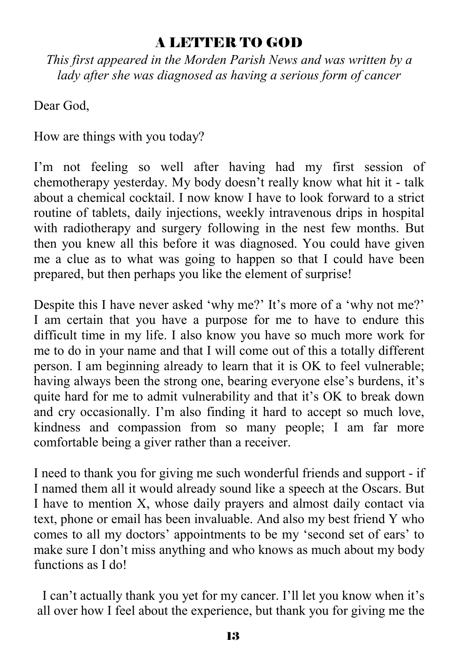#### A LETTER TO GOD

*This first appeared in the Morden Parish News and was written by a lady after she was diagnosed as having a serious form of cancer* 

Dear God.

How are things with you today?

I'm not feeling so well after having had my first session of chemotherapy yesterday. My body doesn't really know what hit it - talk about a chemical cocktail. I now know I have to look forward to a strict routine of tablets, daily injections, weekly intravenous drips in hospital with radiotherapy and surgery following in the nest few months. But then you knew all this before it was diagnosed. You could have given me a clue as to what was going to happen so that I could have been prepared, but then perhaps you like the element of surprise!

Despite this I have never asked 'why me?' It's more of a 'why not me?' I am certain that you have a purpose for me to have to endure this difficult time in my life. I also know you have so much more work for me to do in your name and that I will come out of this a totally different person. I am beginning already to learn that it is OK to feel vulnerable; having always been the strong one, bearing everyone else's burdens, it's quite hard for me to admit vulnerability and that it's OK to break down and cry occasionally. I'm also finding it hard to accept so much love, kindness and compassion from so many people; I am far more comfortable being a giver rather than a receiver.

I need to thank you for giving me such wonderful friends and support - if I named them all it would already sound like a speech at the Oscars. But I have to mention X, whose daily prayers and almost daily contact via text, phone or email has been invaluable. And also my best friend Y who comes to all my doctors' appointments to be my 'second set of ears' to make sure I don't miss anything and who knows as much about my body functions as I do!

I can't actually thank you yet for my cancer. I'll let you know when it's all over how I feel about the experience, but thank you for giving me the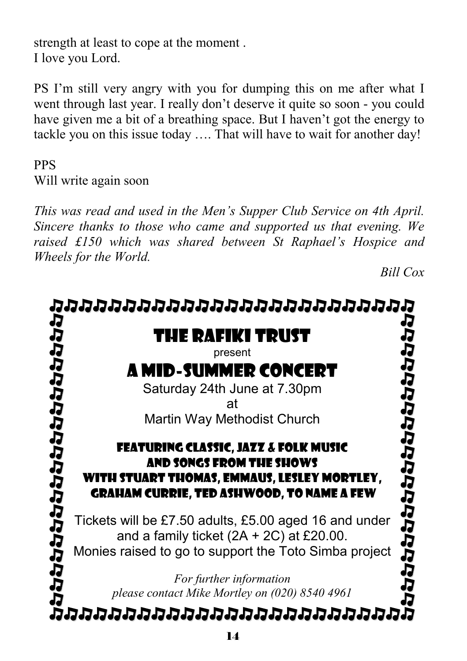strength at least to cope at the moment . I love you Lord.

PS I'm still very angry with you for dumping this on me after what I went through last year. I really don't deserve it quite so soon - you could have given me a bit of a breathing space. But I haven't got the energy to tackle you on this issue today …. That will have to wait for another day!

#### PPS Will write again soon

*This was read and used in the Men's Supper Club Service on 4th April. Sincere thanks to those who came and supported us that evening. We raised £150 which was shared between St Raphael's Hospice and Wheels for the World.* 

*Bill Cox* 

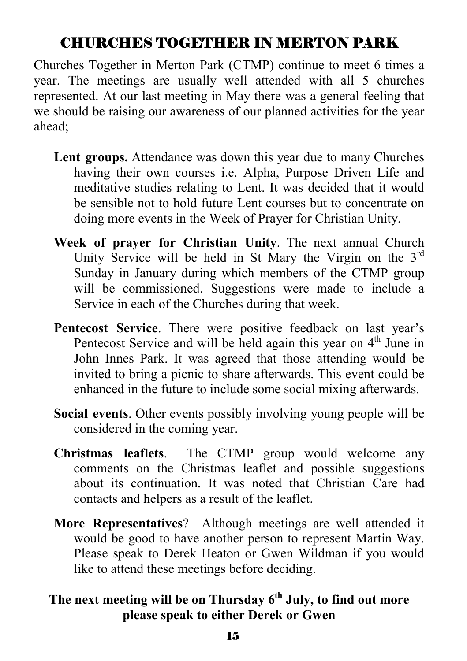#### CHURCHES TOGETHER IN MERTON PARK

Churches Together in Merton Park (CTMP) continue to meet 6 times a year. The meetings are usually well attended with all 5 churches represented. At our last meeting in May there was a general feeling that we should be raising our awareness of our planned activities for the year ahead;

- **Lent groups.** Attendance was down this year due to many Churches having their own courses i.e. Alpha, Purpose Driven Life and meditative studies relating to Lent. It was decided that it would be sensible not to hold future Lent courses but to concentrate on doing more events in the Week of Prayer for Christian Unity.
- **Week of prayer for Christian Unity**. The next annual Church Unity Service will be held in St Mary the Virgin on the  $3<sup>rd</sup>$ Sunday in January during which members of the CTMP group will be commissioned. Suggestions were made to include a Service in each of the Churches during that week.
- **Pentecost Service**. There were positive feedback on last year's Pentecost Service and will be held again this year on 4<sup>th</sup> June in John Innes Park. It was agreed that those attending would be invited to bring a picnic to share afterwards. This event could be enhanced in the future to include some social mixing afterwards.
- **Social events**. Other events possibly involving young people will be considered in the coming year.
- **Christmas leaflets**. The CTMP group would welcome any comments on the Christmas leaflet and possible suggestions about its continuation. It was noted that Christian Care had contacts and helpers as a result of the leaflet.
- **More Representatives**? Although meetings are well attended it would be good to have another person to represent Martin Way. Please speak to Derek Heaton or Gwen Wildman if you would like to attend these meetings before deciding.

#### **The next meeting will be on Thursday 6th July, to find out more please speak to either Derek or Gwen**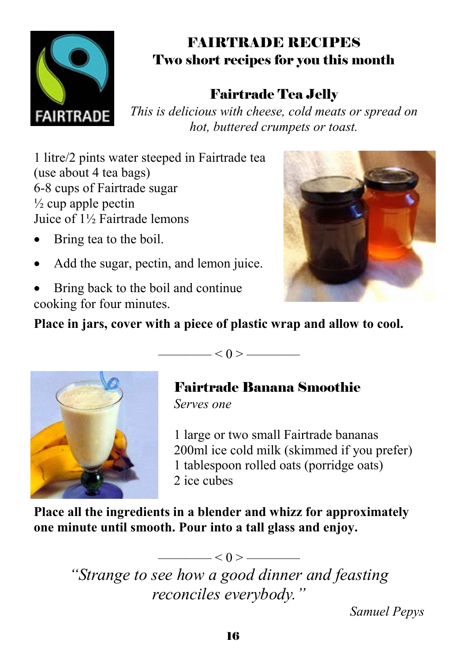

## FAIRTRADE RECIPES Two short recipes for you this month

## Fairtrade Tea Jelly

*This is delicious with cheese, cold meats or spread on hot, buttered crumpets or toast.* 

1 litre/2 pints water steeped in Fairtrade tea (use about 4 tea bags) 6-8 cups of Fairtrade sugar  $\frac{1}{2}$  cup apple pectin Juice of 1½ Fairtrade lemons

- Bring tea to the boil.
- Add the sugar, pectin, and lemon juice.
- Bring back to the boil and continue cooking for four minutes.



**Place in jars, cover with a piece of plastic wrap and allow to cool.**



 $\left| \alpha \right| < 0 \right. > \frac{1}{\sqrt{2\pi}}$ 

## Fairtrade Banana Smoothie

*Serves one* 

1 large or two small Fairtrade bananas 200ml ice cold milk (skimmed if you prefer) 1 tablespoon rolled oats (porridge oats) 2 ice cubes

**Place all the ingredients in a blender and whizz for approximately one minute until smooth. Pour into a tall glass and enjoy.**

> *"Strange to see how a good dinner and feasting reconciles everybody."*

 $\angle 0$  >  $\equiv$ 

*Samuel Pepys*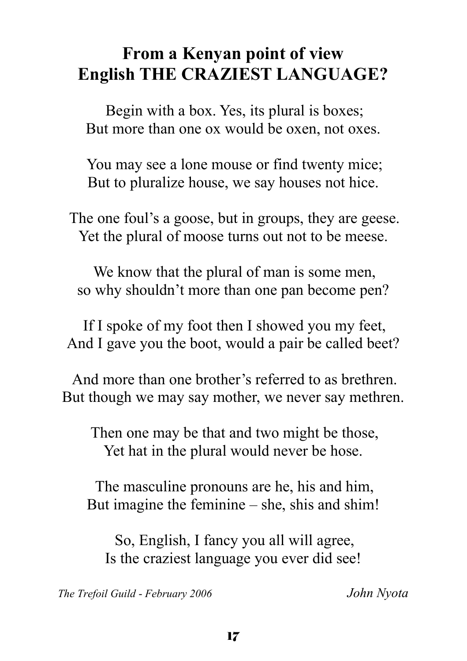# **From a Kenyan point of view English THE CRAZIEST LANGUAGE?**

Begin with a box. Yes, its plural is boxes; But more than one ox would be oxen, not oxes.

You may see a lone mouse or find twenty mice; But to pluralize house, we say houses not hice.

The one foul's a goose, but in groups, they are geese. Yet the plural of moose turns out not to be meese.

We know that the plural of man is some men, so why shouldn't more than one pan become pen?

If I spoke of my foot then I showed you my feet, And I gave you the boot, would a pair be called beet?

And more than one brother's referred to as brethren. But though we may say mother, we never say methren.

Then one may be that and two might be those, Yet hat in the plural would never be hose.

The masculine pronouns are he, his and him, But imagine the feminine – she, shis and shim!

So, English, I fancy you all will agree, Is the craziest language you ever did see!

*The Trefoil Guild* - *February 2006 John Nyota*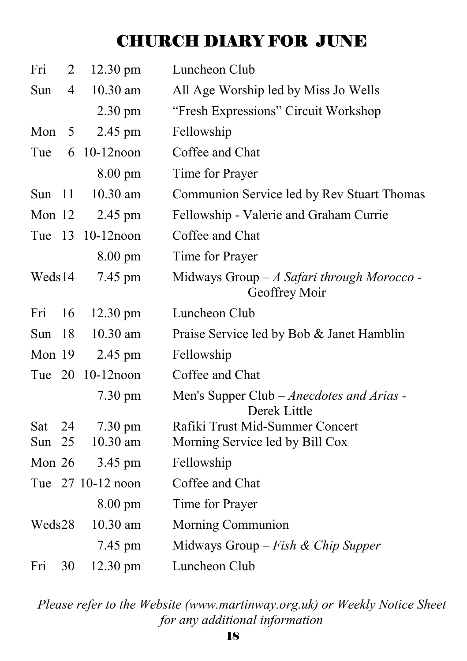# CHURCH DIARY FOR JUNE

| Fri      | 2              | $12.30 \text{ pm}$ | Luncheon Club                                                |
|----------|----------------|--------------------|--------------------------------------------------------------|
| Sun      | $\overline{4}$ | 10.30 am           | All Age Worship led by Miss Jo Wells                         |
|          |                | $2.30 \text{ pm}$  | "Fresh Expressions" Circuit Workshop                         |
| Mon      | 5              | 2.45 pm            | Fellowship                                                   |
| Tue      | 6              | $10-12$ noon       | Coffee and Chat                                              |
|          |                | $8.00 \text{ pm}$  | Time for Prayer                                              |
| Sun $11$ |                | 10.30 am           | Communion Service led by Rev Stuart Thomas                   |
| Mon 12   |                | 2.45 pm            | Fellowship - Valerie and Graham Currie                       |
| Tue 13   |                | $10-12$ noon       | Coffee and Chat                                              |
|          |                | $8.00 \text{ pm}$  | Time for Prayer                                              |
| Weds14   |                | 7.45 pm            | Midways Group $-A$ Safari through Morocco -<br>Geoffrey Moir |
| Fri      | 16             | $12.30 \text{ pm}$ | Luncheon Club                                                |
| Sun      | 18             | 10.30 am           | Praise Service led by Bob & Janet Hamblin                    |
| Mon 19   |                | $2.45$ pm          | Fellowship                                                   |
|          |                | Tue 20 10-12 noon  | Coffee and Chat                                              |
|          |                | 7.30 pm            | Men's Supper Club - Anecdotes and Arias -<br>Derek Little    |
| Sat      | 24             | $7.30 \text{ pm}$  | Rafiki Trust Mid-Summer Concert                              |
| Sun $25$ |                | 10.30 am           | Morning Service led by Bill Cox                              |
| Mon $26$ |                | 3.45 pm            | Fellowship                                                   |
|          |                | Tue 27 10-12 noon  | Coffee and Chat                                              |
|          |                | $8.00 \text{ pm}$  | Time for Prayer                                              |
| Weds28   |                | 10.30 am           | Morning Communion                                            |
|          |                | 7.45 pm            | Midways Group - Fish & Chip Supper                           |
| Fri      | 30             | 12.30 pm           | Luncheon Club                                                |

*Please refer to the Website (www.martinway.org.uk) or Weekly Notice Sheet for any additional information*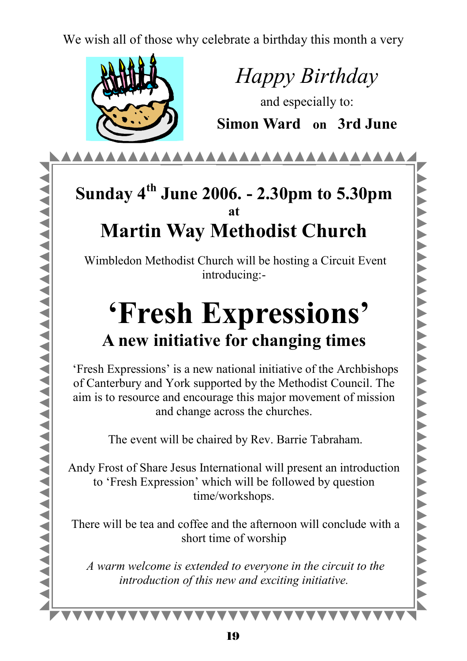We wish all of those why celebrate a birthday this month a very



*Happy Birthday* 

and especially to: **Simon Ward on 3rd June** 

AAAAAAAAAAAAAAAAAAAAAAAAA

## **Sunday 4th June 2006. - 2.30pm to 5.30pm at Martin Way Methodist Church**

Wimbledon Methodist Church will be hosting a Circuit Event introducing:-

# **'Fresh Expressions' A new initiative for changing times**

 'Fresh Expressions' is a new national initiative of the Archbishops of Canterbury and York supported by the Methodist Council. The aim is to resource and encourage this major movement of mission and change across the churches.

The event will be chaired by Rev. Barrie Tabraham.

Andy Frost of Share Jesus International will present an introduction to 'Fresh Expression' which will be followed by question time/workshops.

 There will be tea and coffee and the afternoon will conclude with a short time of worship

 *A warm welcome is extended to everyone in the circuit to the introduction of this new and exciting initiative.* 

**\*\*\*\*\*\*\*\*\***